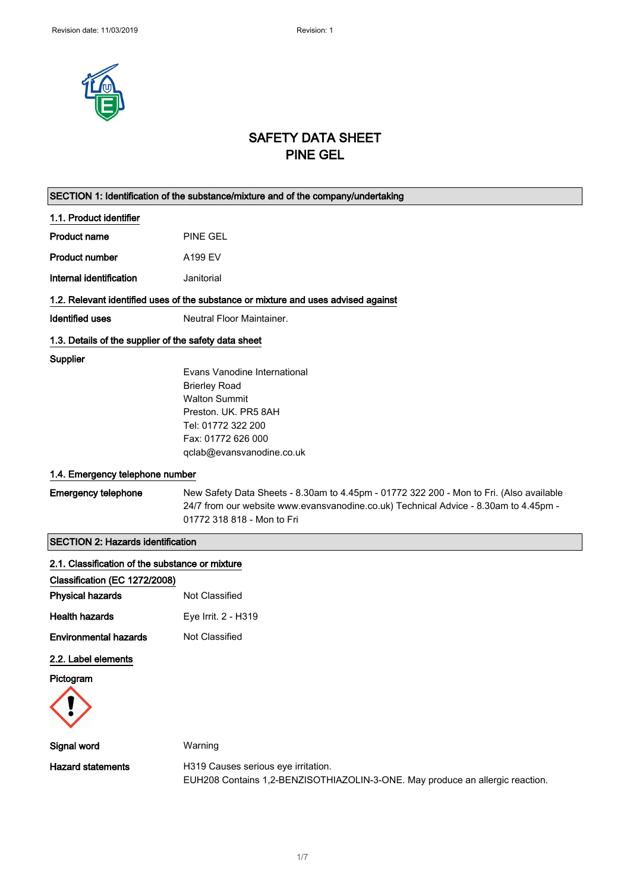

# SAFETY DATA SHEET PINE GEL

 $\overline{\phantom{a}}$ 

| SECTION 1: Identification of the substance/mixture and of the company/undertaking |                                                                                                                                                                                                               |
|-----------------------------------------------------------------------------------|---------------------------------------------------------------------------------------------------------------------------------------------------------------------------------------------------------------|
| 1.1. Product identifier                                                           |                                                                                                                                                                                                               |
| <b>Product name</b>                                                               | <b>PINE GEL</b>                                                                                                                                                                                               |
| <b>Product number</b>                                                             | A199 EV                                                                                                                                                                                                       |
| Internal identification                                                           | Janitorial                                                                                                                                                                                                    |
|                                                                                   | 1.2. Relevant identified uses of the substance or mixture and uses advised against                                                                                                                            |
| <b>Identified uses</b>                                                            | Neutral Floor Maintainer.                                                                                                                                                                                     |
| 1.3. Details of the supplier of the safety data sheet                             |                                                                                                                                                                                                               |
| Supplier                                                                          | Evans Vanodine International<br><b>Brierley Road</b><br><b>Walton Summit</b><br>Preston, UK, PR5 8AH<br>Tel: 01772 322 200<br>Fax: 01772 626 000<br>qclab@evansvanodine.co.uk                                 |
| 1.4. Emergency telephone number                                                   |                                                                                                                                                                                                               |
| <b>Emergency telephone</b>                                                        | New Safety Data Sheets - 8.30am to 4.45pm - 01772 322 200 - Mon to Fri. (Also available<br>24/7 from our website www.evansvanodine.co.uk) Technical Advice - 8.30am to 4.45pm -<br>01772 318 818 - Mon to Fri |
| <b>SECTION 2: Hazards identification</b>                                          |                                                                                                                                                                                                               |
| 2.1. Classification of the substance or mixture                                   |                                                                                                                                                                                                               |
| Classification (EC 1272/2008)                                                     |                                                                                                                                                                                                               |
| <b>Physical hazards</b>                                                           | Not Classified                                                                                                                                                                                                |
| <b>Health hazards</b>                                                             | Eye Irrit. 2 - H319                                                                                                                                                                                           |
| <b>Environmental hazards</b>                                                      | Not Classified                                                                                                                                                                                                |
| 2.2. Label elements<br>Pictogram                                                  |                                                                                                                                                                                                               |
| Signal word                                                                       | Warning                                                                                                                                                                                                       |
| <b>Hazard statements</b>                                                          | H319 Causes serious eye irritation.<br>EUH208 Contains 1,2-BENZISOTHIAZOLIN-3-ONE. May produce an allergic reaction.                                                                                          |
|                                                                                   |                                                                                                                                                                                                               |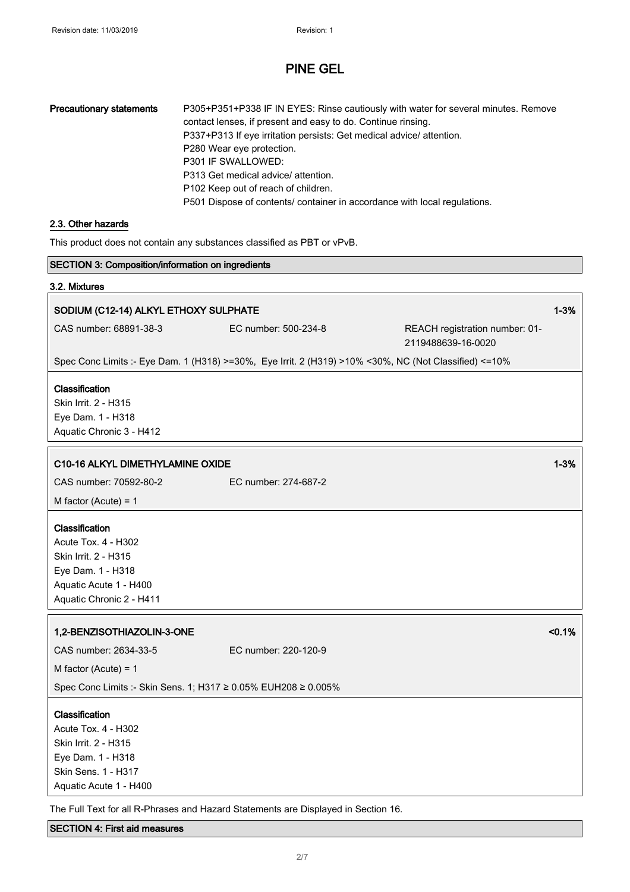SECTION 3: Composition/information on ingredients

# PINE GEL

| <b>Precautionary statements</b> | P305+P351+P338 IF IN EYES: Rinse cautiously with water for several minutes. Remove<br>contact lenses, if present and easy to do. Continue rinsing.<br>P337+P313 If eye irritation persists: Get medical advice/ attention.<br>P280 Wear eye protection.<br>P301 IF SWALLOWED:<br>P313 Get medical advice/ attention.<br>P102 Keep out of reach of children.<br>P501 Dispose of contents/ container in accordance with local regulations. |
|---------------------------------|------------------------------------------------------------------------------------------------------------------------------------------------------------------------------------------------------------------------------------------------------------------------------------------------------------------------------------------------------------------------------------------------------------------------------------------|
| 2.3. Other hazards              |                                                                                                                                                                                                                                                                                                                                                                                                                                          |
|                                 | This product does not contain any substances classified as PBT or vPvB.                                                                                                                                                                                                                                                                                                                                                                  |

| 3.2. Mixtures                                                  |                                                                                                       |                                                      |          |
|----------------------------------------------------------------|-------------------------------------------------------------------------------------------------------|------------------------------------------------------|----------|
| SODIUM (C12-14) ALKYL ETHOXY SULPHATE                          |                                                                                                       |                                                      | $1 - 3%$ |
| CAS number: 68891-38-3                                         | EC number: 500-234-8                                                                                  | REACH registration number: 01-<br>2119488639-16-0020 |          |
|                                                                | Spec Conc Limits :- Eye Dam. 1 (H318) >=30%, Eye Irrit. 2 (H319) >10% <30%, NC (Not Classified) <=10% |                                                      |          |
| Classification                                                 |                                                                                                       |                                                      |          |
| Skin Irrit. 2 - H315                                           |                                                                                                       |                                                      |          |
| Eye Dam. 1 - H318                                              |                                                                                                       |                                                      |          |
| Aquatic Chronic 3 - H412                                       |                                                                                                       |                                                      |          |
| C10-16 ALKYL DIMETHYLAMINE OXIDE                               |                                                                                                       |                                                      | $1 - 3%$ |
| CAS number: 70592-80-2                                         | EC number: 274-687-2                                                                                  |                                                      |          |
| M factor (Acute) = $1$                                         |                                                                                                       |                                                      |          |
| Classification                                                 |                                                                                                       |                                                      |          |
| Acute Tox. 4 - H302                                            |                                                                                                       |                                                      |          |
| Skin Irrit. 2 - H315                                           |                                                                                                       |                                                      |          |
| Eye Dam. 1 - H318                                              |                                                                                                       |                                                      |          |
| Aquatic Acute 1 - H400                                         |                                                                                                       |                                                      |          |
| Aquatic Chronic 2 - H411                                       |                                                                                                       |                                                      |          |
| 1,2-BENZISOTHIAZOLIN-3-ONE                                     |                                                                                                       |                                                      | < 0.1%   |
| CAS number: 2634-33-5                                          | EC number: 220-120-9                                                                                  |                                                      |          |
| M factor (Acute) = $1$                                         |                                                                                                       |                                                      |          |
| Spec Conc Limits :- Skin Sens. 1; H317 ≥ 0.05% EUH208 ≥ 0.005% |                                                                                                       |                                                      |          |
|                                                                |                                                                                                       |                                                      |          |
| Classification                                                 |                                                                                                       |                                                      |          |
| Acute Tox. 4 - H302<br>Skin Irrit. 2 - H315                    |                                                                                                       |                                                      |          |
| Eye Dam. 1 - H318                                              |                                                                                                       |                                                      |          |
| Skin Sens. 1 - H317                                            |                                                                                                       |                                                      |          |
| Aquatic Acute 1 - H400                                         |                                                                                                       |                                                      |          |
|                                                                |                                                                                                       |                                                      |          |

The Full Text for all R-Phrases and Hazard Statements are Displayed in Section 16.

## SECTION 4: First aid measures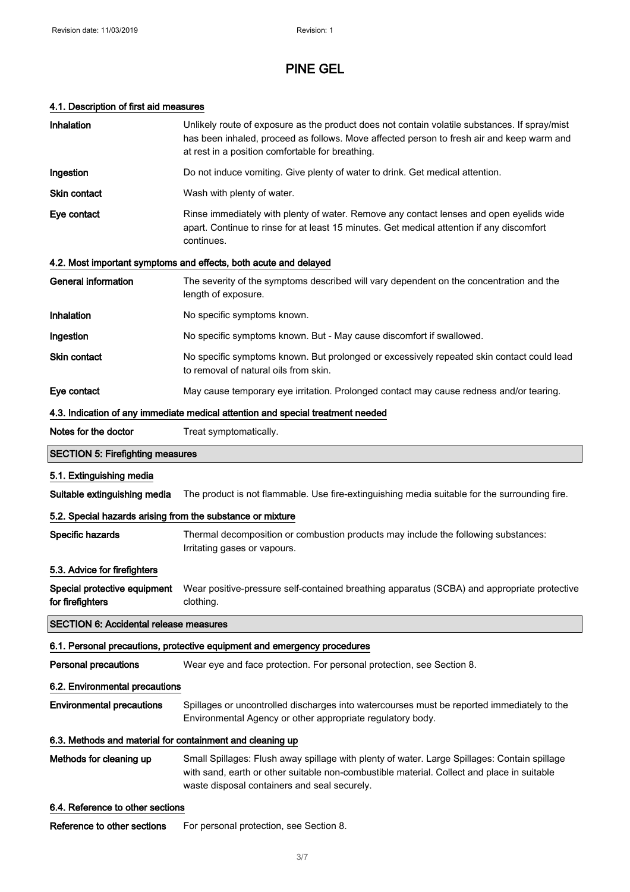## 4.1. Description of first aid measures

| Inhalation                                                                      | Unlikely route of exposure as the product does not contain volatile substances. If spray/mist<br>has been inhaled, proceed as follows. Move affected person to fresh air and keep warm and<br>at rest in a position comfortable for breathing. |  |
|---------------------------------------------------------------------------------|------------------------------------------------------------------------------------------------------------------------------------------------------------------------------------------------------------------------------------------------|--|
| Ingestion                                                                       | Do not induce vomiting. Give plenty of water to drink. Get medical attention.                                                                                                                                                                  |  |
| <b>Skin contact</b>                                                             | Wash with plenty of water.                                                                                                                                                                                                                     |  |
| Eye contact                                                                     | Rinse immediately with plenty of water. Remove any contact lenses and open eyelids wide<br>apart. Continue to rinse for at least 15 minutes. Get medical attention if any discomfort<br>continues.                                             |  |
|                                                                                 | 4.2. Most important symptoms and effects, both acute and delayed                                                                                                                                                                               |  |
| <b>General information</b>                                                      | The severity of the symptoms described will vary dependent on the concentration and the<br>length of exposure.                                                                                                                                 |  |
| Inhalation                                                                      | No specific symptoms known.                                                                                                                                                                                                                    |  |
| Ingestion                                                                       | No specific symptoms known. But - May cause discomfort if swallowed.                                                                                                                                                                           |  |
| Skin contact                                                                    | No specific symptoms known. But prolonged or excessively repeated skin contact could lead<br>to removal of natural oils from skin.                                                                                                             |  |
| Eye contact                                                                     | May cause temporary eye irritation. Prolonged contact may cause redness and/or tearing.                                                                                                                                                        |  |
| 4.3. Indication of any immediate medical attention and special treatment needed |                                                                                                                                                                                                                                                |  |
| Notes for the doctor                                                            | Treat symptomatically.                                                                                                                                                                                                                         |  |
| <b>SECTION 5: Firefighting measures</b>                                         |                                                                                                                                                                                                                                                |  |
| 5.1. Extinguishing media                                                        |                                                                                                                                                                                                                                                |  |
| Suitable extinguishing media                                                    | The product is not flammable. Use fire-extinguishing media suitable for the surrounding fire.                                                                                                                                                  |  |
| 5.2. Special hazards arising from the substance or mixture                      |                                                                                                                                                                                                                                                |  |
| Specific hazards                                                                | Thermal decomposition or combustion products may include the following substances:<br>Irritating gases or vapours.                                                                                                                             |  |
| 5.3. Advice for firefighters                                                    |                                                                                                                                                                                                                                                |  |
| for firefighters                                                                | Special protective equipment Wear positive-pressure self-contained breathing apparatus (SCBA) and appropriate protective<br>clothing.                                                                                                          |  |
| <b>SECTION 6: Accidental release measures</b>                                   |                                                                                                                                                                                                                                                |  |
|                                                                                 | 6.1. Personal precautions, protective equipment and emergency procedures                                                                                                                                                                       |  |
| <b>Personal precautions</b>                                                     | Wear eye and face protection. For personal protection, see Section 8.                                                                                                                                                                          |  |
| 6.2. Environmental precautions                                                  |                                                                                                                                                                                                                                                |  |
| <b>Environmental precautions</b>                                                | Spillages or uncontrolled discharges into watercourses must be reported immediately to the<br>Environmental Agency or other appropriate regulatory body.                                                                                       |  |
| 6.3. Methods and material for containment and cleaning up                       |                                                                                                                                                                                                                                                |  |
| Methods for cleaning up                                                         | Small Spillages: Flush away spillage with plenty of water. Large Spillages: Contain spillage<br>with sand, earth or other suitable non-combustible material. Collect and place in suitable<br>waste disposal containers and seal securely.     |  |
| 6.4. Reference to other sections                                                |                                                                                                                                                                                                                                                |  |

Reference to other sections For personal protection, see Section 8.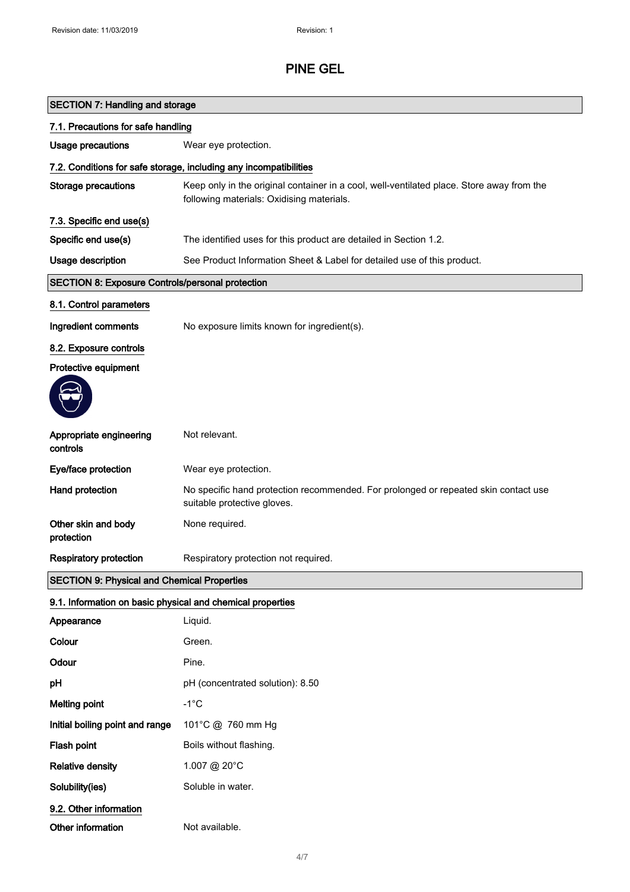| <b>SECTION 7: Handling and storage</b>                     |                                                                                                                                        |  |
|------------------------------------------------------------|----------------------------------------------------------------------------------------------------------------------------------------|--|
| 7.1. Precautions for safe handling                         |                                                                                                                                        |  |
| <b>Usage precautions</b>                                   | Wear eye protection.                                                                                                                   |  |
|                                                            | 7.2. Conditions for safe storage, including any incompatibilities                                                                      |  |
| <b>Storage precautions</b>                                 | Keep only in the original container in a cool, well-ventilated place. Store away from the<br>following materials: Oxidising materials. |  |
| 7.3. Specific end use(s)                                   |                                                                                                                                        |  |
| Specific end use(s)                                        | The identified uses for this product are detailed in Section 1.2.                                                                      |  |
| Usage description                                          | See Product Information Sheet & Label for detailed use of this product.                                                                |  |
| <b>SECTION 8: Exposure Controls/personal protection</b>    |                                                                                                                                        |  |
| 8.1. Control parameters                                    |                                                                                                                                        |  |
| Ingredient comments                                        | No exposure limits known for ingredient(s).                                                                                            |  |
| 8.2. Exposure controls                                     |                                                                                                                                        |  |
| Protective equipment                                       |                                                                                                                                        |  |
|                                                            |                                                                                                                                        |  |
| Appropriate engineering<br>controls                        | Not relevant.                                                                                                                          |  |
| Eye/face protection                                        | Wear eye protection.                                                                                                                   |  |
| Hand protection                                            | No specific hand protection recommended. For prolonged or repeated skin contact use<br>suitable protective gloves.                     |  |
| Other skin and body<br>protection                          | None required.                                                                                                                         |  |
| <b>Respiratory protection</b>                              | Respiratory protection not required.                                                                                                   |  |
| <b>SECTION 9: Physical and Chemical Properties</b>         |                                                                                                                                        |  |
| 9.1. Information on basic physical and chemical properties |                                                                                                                                        |  |
| Appearance                                                 | Liquid.                                                                                                                                |  |
| Colour                                                     | Green.                                                                                                                                 |  |
| Odour                                                      | Pine.                                                                                                                                  |  |
| рH                                                         | pH (concentrated solution): 8.50                                                                                                       |  |
| <b>Melting point</b>                                       | $-1^{\circ}C$                                                                                                                          |  |
| Initial boiling point and range                            | 101°C @ 760 mm Hg                                                                                                                      |  |
| Flash point                                                | Boils without flashing.                                                                                                                |  |

Relative density 1.007 @ 20°C

Solubility(ies) Soluble in water.

9.2. Other information

Other information Not available.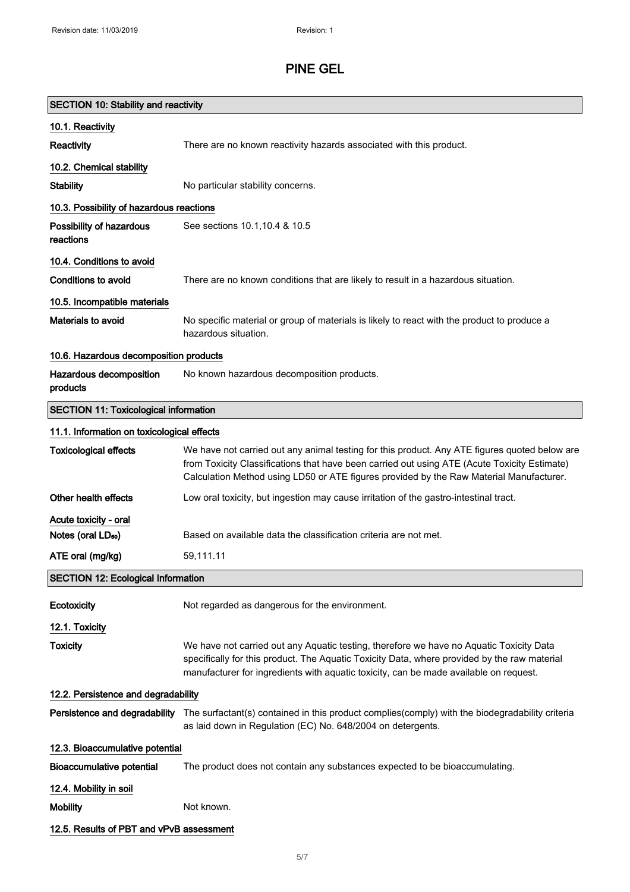| <b>SECTION 10: Stability and reactivity</b>  |                                                                                                                                                                                                                                                                                          |  |
|----------------------------------------------|------------------------------------------------------------------------------------------------------------------------------------------------------------------------------------------------------------------------------------------------------------------------------------------|--|
|                                              |                                                                                                                                                                                                                                                                                          |  |
| 10.1. Reactivity                             |                                                                                                                                                                                                                                                                                          |  |
| Reactivity                                   | There are no known reactivity hazards associated with this product.                                                                                                                                                                                                                      |  |
| 10.2. Chemical stability                     |                                                                                                                                                                                                                                                                                          |  |
| <b>Stability</b>                             | No particular stability concerns.                                                                                                                                                                                                                                                        |  |
| 10.3. Possibility of hazardous reactions     |                                                                                                                                                                                                                                                                                          |  |
| Possibility of hazardous<br>reactions        | See sections 10.1, 10.4 & 10.5                                                                                                                                                                                                                                                           |  |
| 10.4. Conditions to avoid                    |                                                                                                                                                                                                                                                                                          |  |
| <b>Conditions to avoid</b>                   | There are no known conditions that are likely to result in a hazardous situation.                                                                                                                                                                                                        |  |
| 10.5. Incompatible materials                 |                                                                                                                                                                                                                                                                                          |  |
| Materials to avoid                           | No specific material or group of materials is likely to react with the product to produce a<br>hazardous situation.                                                                                                                                                                      |  |
| 10.6. Hazardous decomposition products       |                                                                                                                                                                                                                                                                                          |  |
| Hazardous decomposition<br>products          | No known hazardous decomposition products.                                                                                                                                                                                                                                               |  |
| <b>SECTION 11: Toxicological information</b> |                                                                                                                                                                                                                                                                                          |  |
| 11.1. Information on toxicological effects   |                                                                                                                                                                                                                                                                                          |  |
| <b>Toxicological effects</b>                 | We have not carried out any animal testing for this product. Any ATE figures quoted below are<br>from Toxicity Classifications that have been carried out using ATE (Acute Toxicity Estimate)<br>Calculation Method using LD50 or ATE figures provided by the Raw Material Manufacturer. |  |
| Other health effects                         | Low oral toxicity, but ingestion may cause irritation of the gastro-intestinal tract.                                                                                                                                                                                                    |  |
| Acute toxicity - oral                        |                                                                                                                                                                                                                                                                                          |  |
| Notes (oral LD <sub>50</sub> )               | Based on available data the classification criteria are not met.                                                                                                                                                                                                                         |  |
| ATE oral (mg/kg)                             | 59,111.11                                                                                                                                                                                                                                                                                |  |
| <b>SECTION 12: Ecological Information</b>    |                                                                                                                                                                                                                                                                                          |  |
| Ecotoxicity                                  | Not regarded as dangerous for the environment.                                                                                                                                                                                                                                           |  |
| 12.1. Toxicity                               |                                                                                                                                                                                                                                                                                          |  |
| <b>Toxicity</b>                              | We have not carried out any Aquatic testing, therefore we have no Aquatic Toxicity Data<br>specifically for this product. The Aquatic Toxicity Data, where provided by the raw material<br>manufacturer for ingredients with aquatic toxicity, can be made available on request.         |  |
| 12.2. Persistence and degradability          |                                                                                                                                                                                                                                                                                          |  |
|                                              | Persistence and degradability The surfactant(s) contained in this product complies(comply) with the biodegradability criteria<br>as laid down in Regulation (EC) No. 648/2004 on detergents.                                                                                             |  |
| 12.3. Bioaccumulative potential              |                                                                                                                                                                                                                                                                                          |  |
| <b>Bioaccumulative potential</b>             | The product does not contain any substances expected to be bioaccumulating.                                                                                                                                                                                                              |  |
| 12.4. Mobility in soil                       |                                                                                                                                                                                                                                                                                          |  |
| <b>Mobility</b>                              | Not known.                                                                                                                                                                                                                                                                               |  |
| 12.5. Results of PBT and vPvB assessment     |                                                                                                                                                                                                                                                                                          |  |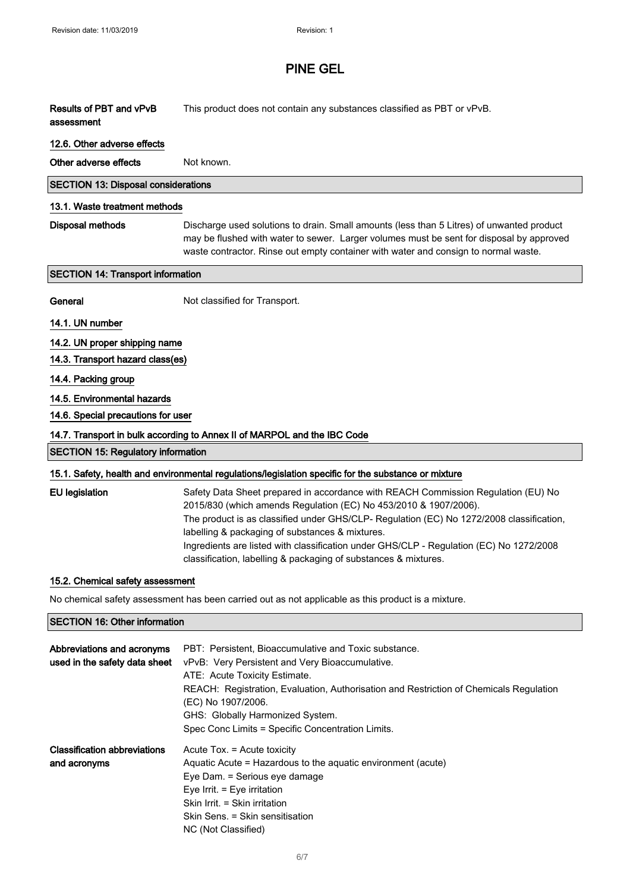| Results of PBT and vPvB | This product does not contain any substances classified as PBT or vPvB. |
|-------------------------|-------------------------------------------------------------------------|
| assessment              |                                                                         |

#### 12.6. Other adverse effects

Other adverse effects Not known.

#### SECTION 13: Disposal considerations

#### 13.1. Waste treatment methods

Disposal methods Discharge used solutions to drain. Small amounts (less than 5 Litres) of unwanted product may be flushed with water to sewer. Larger volumes must be sent for disposal by approved waste contractor. Rinse out empty container with water and consign to normal waste.

## SECTION 14: Transport information

General Not classified for Transport.

## 14.1. UN number

14.2. UN proper shipping name

14.3. Transport hazard class(es)

#### 14.4. Packing group

#### 14.5. Environmental hazards

14.6. Special precautions for user

## 14.7. Transport in bulk according to Annex II of MARPOL and the IBC Code

# SECTION 15: Regulatory information 15.1. Safety, health and environmental regulations/legislation specific for the substance or mixture

| EU legislation | Safety Data Sheet prepared in accordance with REACH Commission Regulation (EU) No        |
|----------------|------------------------------------------------------------------------------------------|
|                | 2015/830 (which amends Regulation (EC) No 453/2010 & 1907/2006).                         |
|                | The product is as classified under GHS/CLP- Regulation (EC) No 1272/2008 classification, |
|                | labelling & packaging of substances & mixtures.                                          |
|                | Ingredients are listed with classification under GHS/CLP - Regulation (EC) No 1272/2008  |
|                | classification, labelling & packaging of substances & mixtures.                          |

## 15.2. Chemical safety assessment

No chemical safety assessment has been carried out as not applicable as this product is a mixture.

## SECTION 16: Other information

| Abbreviations and acronyms<br>used in the safety data sheet | PBT: Persistent, Bioaccumulative and Toxic substance.<br>vPvB: Very Persistent and Very Bioaccumulative.<br>ATE: Acute Toxicity Estimate.<br>REACH: Registration, Evaluation, Authorisation and Restriction of Chemicals Regulation<br>(EC) No 1907/2006.<br>GHS: Globally Harmonized System.<br>Spec Conc Limits = Specific Concentration Limits. |
|-------------------------------------------------------------|----------------------------------------------------------------------------------------------------------------------------------------------------------------------------------------------------------------------------------------------------------------------------------------------------------------------------------------------------|
| <b>Classification abbreviations</b><br>and acronyms         | Acute Tox. = Acute toxicity<br>Aquatic Acute = Hazardous to the aquatic environment (acute)<br>Eye Dam. = Serious eye damage<br>Eye Irrit. $=$ Eye irritation<br>Skin Irrit. = Skin irritation<br>Skin Sens. = Skin sensitisation<br>NC (Not Classified)                                                                                           |